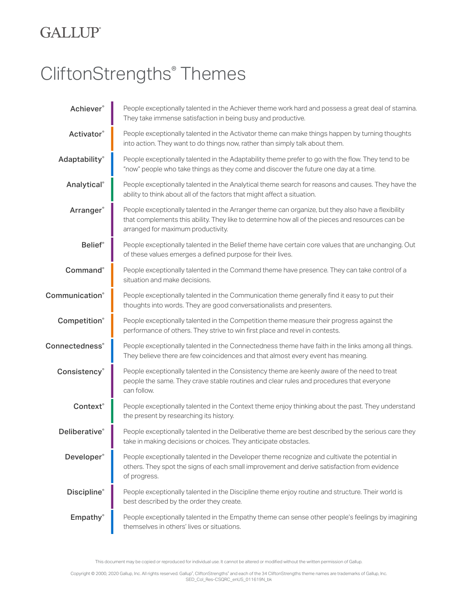## **GALLUP**®

## CliftonStrengths® Themes

| <b>Achiever</b> <sup>®</sup>      | People exceptionally talented in the Achiever theme work hard and possess a great deal of stamina.<br>They take immense satisfaction in being busy and productive.                                                                           |
|-----------------------------------|----------------------------------------------------------------------------------------------------------------------------------------------------------------------------------------------------------------------------------------------|
| <b>Activator®</b>                 | People exceptionally talented in the Activator theme can make things happen by turning thoughts<br>into action. They want to do things now, rather than simply talk about them.                                                              |
| Adaptability®                     | People exceptionally talented in the Adaptability theme prefer to go with the flow. They tend to be<br>"now" people who take things as they come and discover the future one day at a time.                                                  |
| Analytical®                       | People exceptionally talented in the Analytical theme search for reasons and causes. They have the<br>ability to think about all of the factors that might affect a situation.                                                               |
| Arranger®                         | People exceptionally talented in the Arranger theme can organize, but they also have a flexibility<br>that complements this ability. They like to determine how all of the pieces and resources can be<br>arranged for maximum productivity. |
| <b>Belief®</b>                    | People exceptionally talented in the Belief theme have certain core values that are unchanging. Out<br>of these values emerges a defined purpose for their lives.                                                                            |
| <b>Command</b> ®                  | People exceptionally talented in the Command theme have presence. They can take control of a<br>situation and make decisions.                                                                                                                |
| Communication®                    | People exceptionally talented in the Communication theme generally find it easy to put their<br>thoughts into words. They are good conversationalists and presenters.                                                                        |
| <b>Competition®</b>               | People exceptionally talented in the Competition theme measure their progress against the<br>performance of others. They strive to win first place and revel in contests.                                                                    |
| <b>Connectedness</b> <sup>®</sup> | People exceptionally talented in the Connectedness theme have faith in the links among all things.<br>They believe there are few coincidences and that almost every event has meaning.                                                       |
| Consistency®                      | People exceptionally talented in the Consistency theme are keenly aware of the need to treat<br>people the same. They crave stable routines and clear rules and procedures that everyone<br>can follow.                                      |
| <b>Context</b> ®                  | People exceptionally talented in the Context theme enjoy thinking about the past. They understand<br>the present by researching its history.                                                                                                 |
| <b>Deliberative</b> ®             | People exceptionally talented in the Deliberative theme are best described by the serious care they<br>take in making decisions or choices. They anticipate obstacles.                                                                       |
| Developer <sup>®</sup>            | People exceptionally talented in the Developer theme recognize and cultivate the potential in<br>others. They spot the signs of each small improvement and derive satisfaction from evidence<br>of progress.                                 |
| <b>Discipline®</b>                | People exceptionally talented in the Discipline theme enjoy routine and structure. Their world is<br>best described by the order they create.                                                                                                |
| <b>Empathy®</b>                   | People exceptionally talented in the Empathy theme can sense other people's feelings by imagining<br>themselves in others' lives or situations.                                                                                              |

This document may be copied or reproduced for individual use. It cannot be altered or modified without the written permission of Gallup.